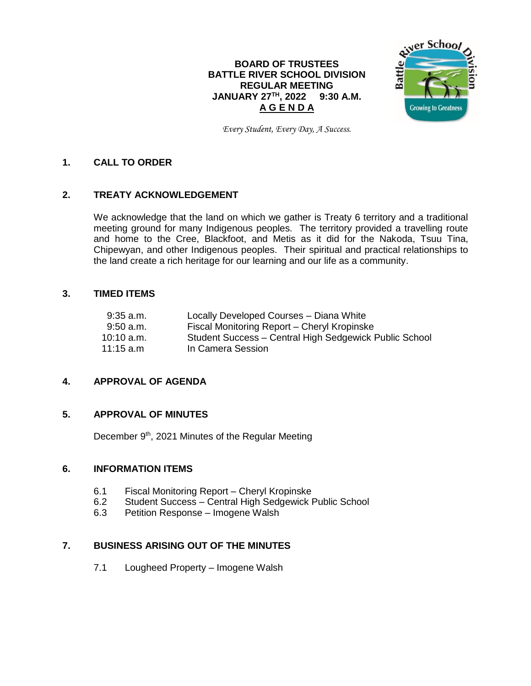# **BOARD OF TRUSTEES BATTLE RIVER SCHOOL DIVISION REGULAR MEETING JANUARY 27TH , 2022 9:30 A.M. A G E N D A**



*Every Student, Every Day, A Success.*

# **1. CALL TO ORDER**

# **2. TREATY ACKNOWLEDGEMENT**

We acknowledge that the land on which we gather is Treaty 6 territory and a traditional meeting ground for many Indigenous peoples. The territory provided a travelling route and home to the Cree, Blackfoot, and Metis as it did for the Nakoda, Tsuu Tina, Chipewyan, and other Indigenous peoples. Their spiritual and practical relationships to the land create a rich heritage for our learning and our life as a community.

### **3. TIMED ITEMS**

| $9:35$ a.m.         | Locally Developed Courses - Diana White                |
|---------------------|--------------------------------------------------------|
| $9:50$ a.m.         | Fiscal Monitoring Report – Cheryl Kropinske            |
| $10:10$ a.m.        | Student Success - Central High Sedgewick Public School |
| $11:15 \text{ a.m}$ | In Camera Session                                      |

# **4. APPROVAL OF AGENDA**

## **5. APPROVAL OF MINUTES**

December 9<sup>th</sup>, 2021 Minutes of the Regular Meeting

## **6. INFORMATION ITEMS**

- 6.1 Fiscal Monitoring Report Cheryl Kropinske
- 6.2 Student Success Central High Sedgewick Public School
- 6.3 Petition Response Imogene Walsh

# **7. BUSINESS ARISING OUT OF THE MINUTES**

7.1 Lougheed Property – Imogene Walsh